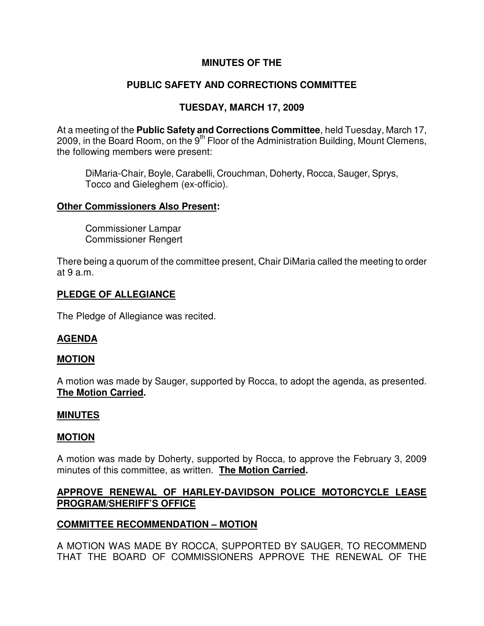## **MINUTES OF THE**

# **PUBLIC SAFETY AND CORRECTIONS COMMITTEE**

# **TUESDAY, MARCH 17, 2009**

At a meeting of the **Public Safety and Corrections Committee**, held Tuesday, March 17, 2009, in the Board Room, on the  $9<sup>th</sup>$  Floor of the Administration Building, Mount Clemens, the following members were present:

DiMaria-Chair, Boyle, Carabelli, Crouchman, Doherty, Rocca, Sauger, Sprys, Tocco and Gieleghem (ex-officio).

#### **Other Commissioners Also Present:**

Commissioner Lampar Commissioner Rengert

There being a quorum of the committee present, Chair DiMaria called the meeting to order at 9 a.m.

#### **PLEDGE OF ALLEGIANCE**

The Pledge of Allegiance was recited.

# **AGENDA**

#### **MOTION**

A motion was made by Sauger, supported by Rocca, to adopt the agenda, as presented. **The Motion Carried.** 

#### **MINUTES**

#### **MOTION**

A motion was made by Doherty, supported by Rocca, to approve the February 3, 2009 minutes of this committee, as written. **The Motion Carried.** 

## **APPROVE RENEWAL OF HARLEY-DAVIDSON POLICE MOTORCYCLE LEASE PROGRAM/SHERIFF'S OFFICE**

# **COMMITTEE RECOMMENDATION – MOTION**

A MOTION WAS MADE BY ROCCA, SUPPORTED BY SAUGER, TO RECOMMEND THAT THE BOARD OF COMMISSIONERS APPROVE THE RENEWAL OF THE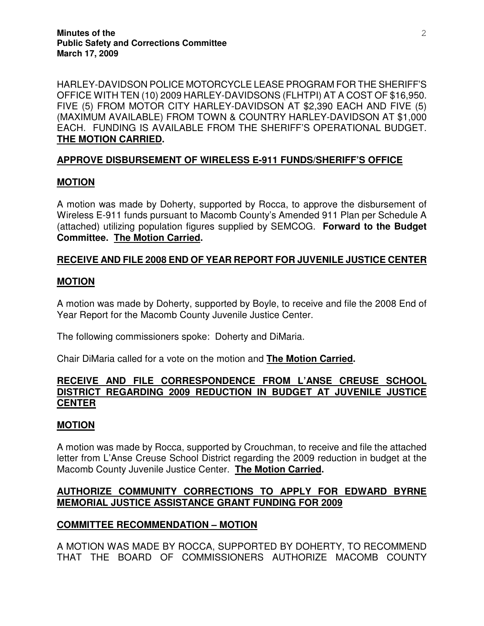HARLEY-DAVIDSON POLICE MOTORCYCLE LEASE PROGRAM FOR THE SHERIFF'S OFFICE WITH TEN (10) 2009 HARLEY-DAVIDSONS (FLHTPI) AT A COST OF \$16,950. FIVE (5) FROM MOTOR CITY HARLEY-DAVIDSON AT \$2,390 EACH AND FIVE (5) (MAXIMUM AVAILABLE) FROM TOWN & COUNTRY HARLEY-DAVIDSON AT \$1,000 EACH. FUNDING IS AVAILABLE FROM THE SHERIFF'S OPERATIONAL BUDGET. **THE MOTION CARRIED.** 

## **APPROVE DISBURSEMENT OF WIRELESS E-911 FUNDS/SHERIFF'S OFFICE**

## **MOTION**

A motion was made by Doherty, supported by Rocca, to approve the disbursement of Wireless E-911 funds pursuant to Macomb County's Amended 911 Plan per Schedule A (attached) utilizing population figures supplied by SEMCOG. **Forward to the Budget Committee. The Motion Carried.** 

## **RECEIVE AND FILE 2008 END OF YEAR REPORT FOR JUVENILE JUSTICE CENTER**

## **MOTION**

A motion was made by Doherty, supported by Boyle, to receive and file the 2008 End of Year Report for the Macomb County Juvenile Justice Center.

The following commissioners spoke: Doherty and DiMaria.

Chair DiMaria called for a vote on the motion and **The Motion Carried.** 

#### **RECEIVE AND FILE CORRESPONDENCE FROM L'ANSE CREUSE SCHOOL DISTRICT REGARDING 2009 REDUCTION IN BUDGET AT JUVENILE JUSTICE CENTER**

#### **MOTION**

A motion was made by Rocca, supported by Crouchman, to receive and file the attached letter from L'Anse Creuse School District regarding the 2009 reduction in budget at the Macomb County Juvenile Justice Center. **The Motion Carried.** 

## **AUTHORIZE COMMUNITY CORRECTIONS TO APPLY FOR EDWARD BYRNE MEMORIAL JUSTICE ASSISTANCE GRANT FUNDING FOR 2009**

# **COMMITTEE RECOMMENDATION – MOTION**

A MOTION WAS MADE BY ROCCA, SUPPORTED BY DOHERTY, TO RECOMMEND THAT THE BOARD OF COMMISSIONERS AUTHORIZE MACOMB COUNTY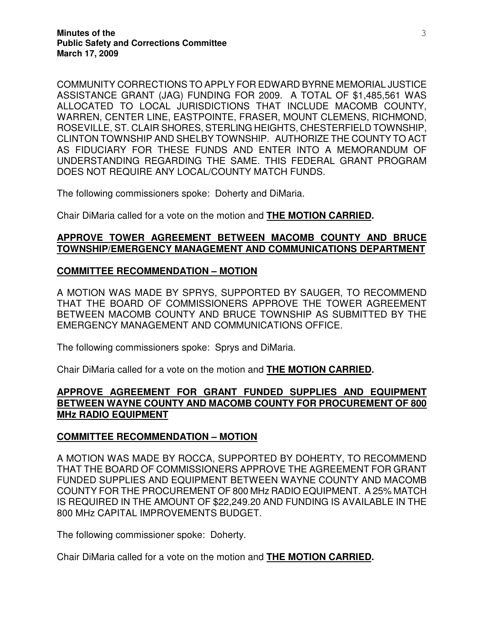COMMUNITY CORRECTIONS TO APPLY FOR EDWARD BYRNE MEMORIAL JUSTICE ASSISTANCE GRANT (JAG) FUNDING FOR 2009. A TOTAL OF \$1,485,561 WAS ALLOCATED TO LOCAL JURISDICTIONS THAT INCLUDE MACOMB COUNTY, WARREN, CENTER LINE, EASTPOINTE, FRASER, MOUNT CLEMENS, RICHMOND, ROSEVILLE, ST. CLAIR SHORES, STERLING HEIGHTS, CHESTERFIELD TOWNSHIP, CLINTON TOWNSHIP AND SHELBY TOWNSHIP. AUTHORIZE THE COUNTY TO ACT AS FIDUCIARY FOR THESE FUNDS AND ENTER INTO A MEMORANDUM OF UNDERSTANDING REGARDING THE SAME. THIS FEDERAL GRANT PROGRAM DOES NOT REQUIRE ANY LOCAL/COUNTY MATCH FUNDS.

The following commissioners spoke: Doherty and DiMaria.

Chair DiMaria called for a vote on the motion and **THE MOTION CARRIED.** 

#### **APPROVE TOWER AGREEMENT BETWEEN MACOMB COUNTY AND BRUCE TOWNSHIP/EMERGENCY MANAGEMENT AND COMMUNICATIONS DEPARTMENT**

#### **COMMITTEE RECOMMENDATION – MOTION**

A MOTION WAS MADE BY SPRYS, SUPPORTED BY SAUGER, TO RECOMMEND THAT THE BOARD OF COMMISSIONERS APPROVE THE TOWER AGREEMENT BETWEEN MACOMB COUNTY AND BRUCE TOWNSHIP AS SUBMITTED BY THE EMERGENCY MANAGEMENT AND COMMUNICATIONS OFFICE.

The following commissioners spoke: Sprys and DiMaria.

Chair DiMaria called for a vote on the motion and **THE MOTION CARRIED.** 

## **APPROVE AGREEMENT FOR GRANT FUNDED SUPPLIES AND EQUIPMENT BETWEEN WAYNE COUNTY AND MACOMB COUNTY FOR PROCUREMENT OF 800 MHz RADIO EQUIPMENT**

#### **COMMITTEE RECOMMENDATION – MOTION**

A MOTION WAS MADE BY ROCCA, SUPPORTED BY DOHERTY, TO RECOMMEND THAT THE BOARD OF COMMISSIONERS APPROVE THE AGREEMENT FOR GRANT FUNDED SUPPLIES AND EQUIPMENT BETWEEN WAYNE COUNTY AND MACOMB COUNTY FOR THE PROCUREMENT OF 800 MHz RADIO EQUIPMENT. A 25% MATCH IS REQUIRED IN THE AMOUNT OF \$22,249.20 AND FUNDING IS AVAILABLE IN THE 800 MHz CAPITAL IMPROVEMENTS BUDGET.

The following commissioner spoke: Doherty.

Chair DiMaria called for a vote on the motion and **THE MOTION CARRIED.**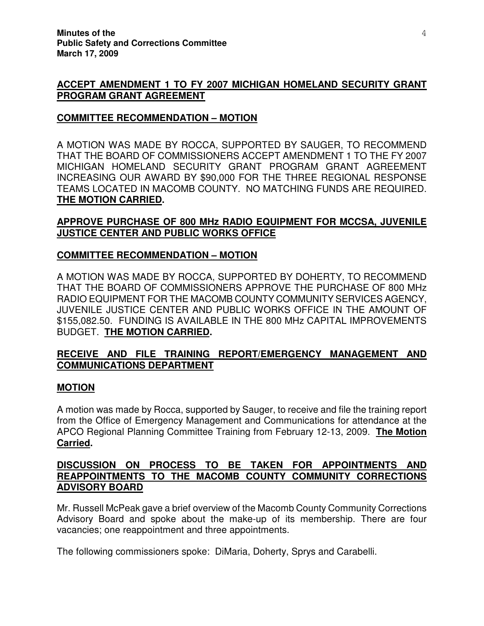## **ACCEPT AMENDMENT 1 TO FY 2007 MICHIGAN HOMELAND SECURITY GRANT PROGRAM GRANT AGREEMENT**

### **COMMITTEE RECOMMENDATION – MOTION**

A MOTION WAS MADE BY ROCCA, SUPPORTED BY SAUGER, TO RECOMMEND THAT THE BOARD OF COMMISSIONERS ACCEPT AMENDMENT 1 TO THE FY 2007 MICHIGAN HOMELAND SECURITY GRANT PROGRAM GRANT AGREEMENT INCREASING OUR AWARD BY \$90,000 FOR THE THREE REGIONAL RESPONSE TEAMS LOCATED IN MACOMB COUNTY. NO MATCHING FUNDS ARE REQUIRED. **THE MOTION CARRIED.** 

## **APPROVE PURCHASE OF 800 MHz RADIO EQUIPMENT FOR MCCSA, JUVENILE JUSTICE CENTER AND PUBLIC WORKS OFFICE**

## **COMMITTEE RECOMMENDATION – MOTION**

A MOTION WAS MADE BY ROCCA, SUPPORTED BY DOHERTY, TO RECOMMEND THAT THE BOARD OF COMMISSIONERS APPROVE THE PURCHASE OF 800 MHz RADIO EQUIPMENT FOR THE MACOMB COUNTY COMMUNITY SERVICES AGENCY, JUVENILE JUSTICE CENTER AND PUBLIC WORKS OFFICE IN THE AMOUNT OF \$155,082.50. FUNDING IS AVAILABLE IN THE 800 MHz CAPITAL IMPROVEMENTS BUDGET. **THE MOTION CARRIED.** 

# **RECEIVE AND FILE TRAINING REPORT/EMERGENCY MANAGEMENT AND COMMUNICATIONS DEPARTMENT**

#### **MOTION**

A motion was made by Rocca, supported by Sauger, to receive and file the training report from the Office of Emergency Management and Communications for attendance at the APCO Regional Planning Committee Training from February 12-13, 2009. **The Motion Carried.** 

## **DISCUSSION ON PROCESS TO BE TAKEN FOR APPOINTMENTS AND REAPPOINTMENTS TO THE MACOMB COUNTY COMMUNITY CORRECTIONS ADVISORY BOARD**

Mr. Russell McPeak gave a brief overview of the Macomb County Community Corrections Advisory Board and spoke about the make-up of its membership. There are four vacancies; one reappointment and three appointments.

The following commissioners spoke: DiMaria, Doherty, Sprys and Carabelli.